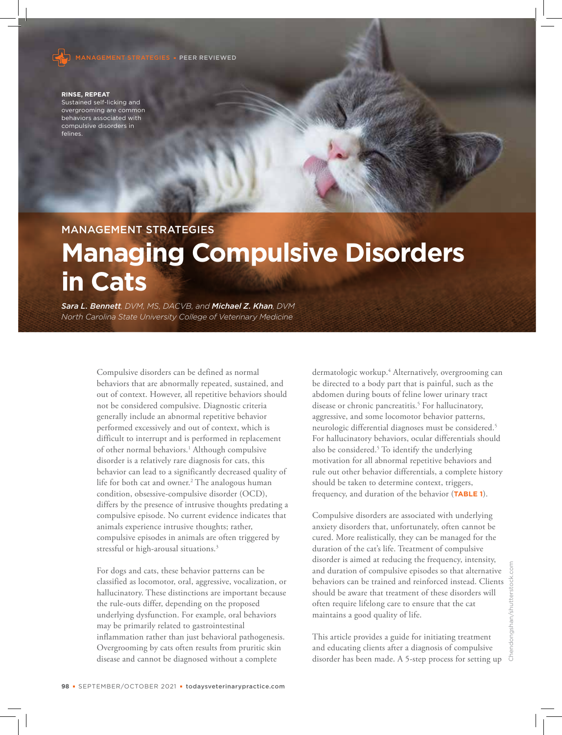

**RINSE, REPEAT** Sustained self-licking and overgrooming are common behaviors associated with compulsive disorders in felines.

# MANAGEMENT STRATEGIES

# **Managing Compulsive Disorders in Cats**

*Sara L. Bennett, DVM, MS, DACVB, and Michael Z. Khan, DVM North Carolina State University College of Veterinary Medicine*

> Compulsive disorders can be defined as normal behaviors that are abnormally repeated, sustained, and out of context. However, all repetitive behaviors should not be considered compulsive. Diagnostic criteria generally include an abnormal repetitive behavior performed excessively and out of context, which is difficult to interrupt and is performed in replacement of other normal behaviors.<sup>1</sup> Although compulsive disorder is a relatively rare diagnosis for cats, this behavior can lead to a significantly decreased quality of life for both cat and owner.<sup>2</sup> The analogous human condition, obsessive-compulsive disorder (OCD), differs by the presence of intrusive thoughts predating a compulsive episode. No current evidence indicates that animals experience intrusive thoughts; rather, compulsive episodes in animals are often triggered by stressful or high-arousal situations.<sup>3</sup>

> For dogs and cats, these behavior patterns can be classified as locomotor, oral, aggressive, vocalization, or hallucinatory. These distinctions are important because the rule-outs differ, depending on the proposed underlying dysfunction. For example, oral behaviors may be primarily related to gastrointestinal inflammation rather than just behavioral pathogenesis. Overgrooming by cats often results from pruritic skin disease and cannot be diagnosed without a complete

dermatologic workup.<sup>4</sup> Alternatively, overgrooming can be directed to a body part that is painful, such as the abdomen during bouts of feline lower urinary tract disease or chronic pancreatitis.<sup>5</sup> For hallucinatory, aggressive, and some locomotor behavior patterns, neurologic differential diagnoses must be considered.<sup>5</sup> For hallucinatory behaviors, ocular differentials should also be considered.<sup>5</sup> To identify the underlying motivation for all abnormal repetitive behaviors and rule out other behavior differentials, a complete history should be taken to determine context, triggers, frequency, and duration of the behavior (**TABLE 1**).

Compulsive disorders are associated with underlying anxiety disorders that, unfortunately, often cannot be cured. More realistically, they can be managed for the duration of the cat's life. Treatment of compulsive disorder is aimed at reducing the frequency, intensity, and duration of compulsive episodes so that alternative behaviors can be trained and reinforced instead. Clients should be aware that treatment of these disorders will often require lifelong care to ensure that the cat maintains a good quality of life.

This article provides a guide for initiating treatment and educating clients after a diagnosis of compulsive disorder has been made. A 5-step process for setting up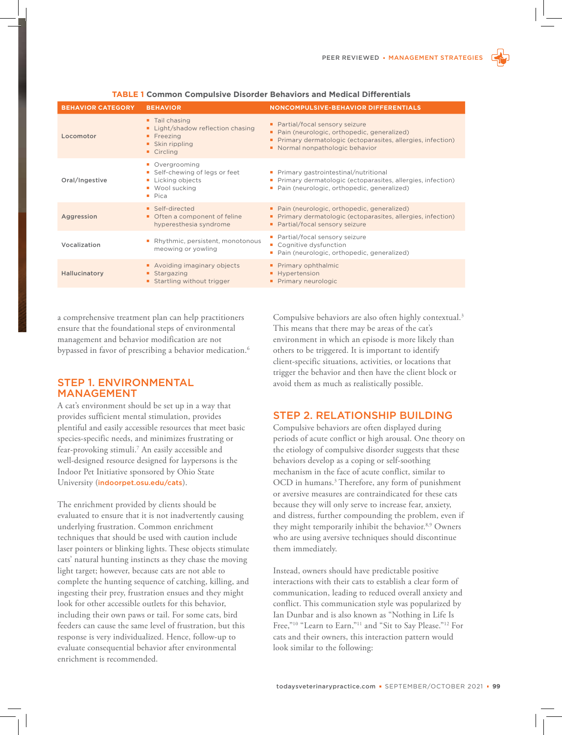| <b>BEHAVIOR CATEGORY</b> | <b>BEHAVIOR</b>                                                                                                            | <b>NONCOMPULSIVE-BEHAVIOR DIFFERENTIALS</b>                                                                                                                                      |
|--------------------------|----------------------------------------------------------------------------------------------------------------------------|----------------------------------------------------------------------------------------------------------------------------------------------------------------------------------|
| Locomotor                | • Tail chasing<br>Light/shadow reflection chasing<br>$\blacksquare$ Freezing<br>• Skin rippling<br>$\blacksquare$ Circling | • Partial/focal sensory seizure<br>• Pain (neurologic, orthopedic, generalized)<br>Primary dermatologic (ectoparasites, allergies, infection)<br>• Normal nonpathologic behavior |
| Oral/Ingestive           | • Overgrooming<br>Self-chewing of legs or feet<br><b>Licking objects</b><br><b>Wool sucking</b><br>Pica                    | • Primary gastrointestinal/nutritional<br>Primary dermatologic (ectoparasites, allergies, infection)<br>Pain (neurologic, orthopedic, generalized)                               |
| Aggression               | Self-directed<br>• Often a component of feline<br>hyperesthesia syndrome                                                   | • Pain (neurologic, orthopedic, generalized)<br>Primary dermatologic (ectoparasites, allergies, infection)<br>• Partial/focal sensory seizure                                    |
| Vocalization             | Rhythmic, persistent, monotonous<br>meowing or yowling                                                                     | • Partial/focal sensory seizure<br>Cognitive dysfunction<br>Pain (neurologic, orthopedic, generalized)                                                                           |
| Hallucinatory            | Avoiding imaginary objects<br>• Stargazing<br>Startling without trigger                                                    | • Primary ophthalmic<br>Hypertension<br>Primary neurologic                                                                                                                       |

#### **TABLE 1 Common Compulsive Disorder Behaviors and Medical Differentials**

a comprehensive treatment plan can help practitioners ensure that the foundational steps of environmental management and behavior modification are not bypassed in favor of prescribing a behavior medication.<sup>6</sup>

## STEP 1. ENVIRONMENTAL MANAGEMENT

A cat's environment should be set up in a way that provides sufficient mental stimulation, provides plentiful and easily accessible resources that meet basic species-specific needs, and minimizes frustrating or fear-provoking stimuli.<sup>7</sup> An easily accessible and well-designed resource designed for laypersons is the Indoor Pet Initiative sponsored by Ohio State University (indoorpet.osu.edu/cats).

The enrichment provided by clients should be evaluated to ensure that it is not inadvertently causing underlying frustration. Common enrichment techniques that should be used with caution include laser pointers or blinking lights. These objects stimulate cats' natural hunting instincts as they chase the moving light target; however, because cats are not able to complete the hunting sequence of catching, killing, and ingesting their prey, frustration ensues and they might look for other accessible outlets for this behavior, including their own paws or tail. For some cats, bird feeders can cause the same level of frustration, but this response is very individualized. Hence, follow-up to evaluate consequential behavior after environmental enrichment is recommended.

Compulsive behaviors are also often highly contextual.<sup>3</sup> This means that there may be areas of the cat's environment in which an episode is more likely than others to be triggered. It is important to identify client-specific situations, activities, or locations that trigger the behavior and then have the client block or avoid them as much as realistically possible.

# STEP 2. RELATIONSHIP BUILDING

Compulsive behaviors are often displayed during periods of acute conflict or high arousal. One theory on the etiology of compulsive disorder suggests that these behaviors develop as a coping or self-soothing mechanism in the face of acute conflict, similar to OCD in humans.<sup>3</sup> Therefore, any form of punishment or aversive measures are contraindicated for these cats because they will only serve to increase fear, anxiety, and distress, further compounding the problem, even if they might temporarily inhibit the behavior.<sup>8,9</sup> Owners who are using aversive techniques should discontinue them immediately.

Instead, owners should have predictable positive interactions with their cats to establish a clear form of communication, leading to reduced overall anxiety and conflict. This communication style was popularized by Ian Dunbar and is also known as "Nothing in Life Is Free,"<sup>10</sup> "Learn to Earn,"<sup>11</sup> and "Sit to Say Please."<sup>12</sup> For cats and their owners, this interaction pattern would look similar to the following: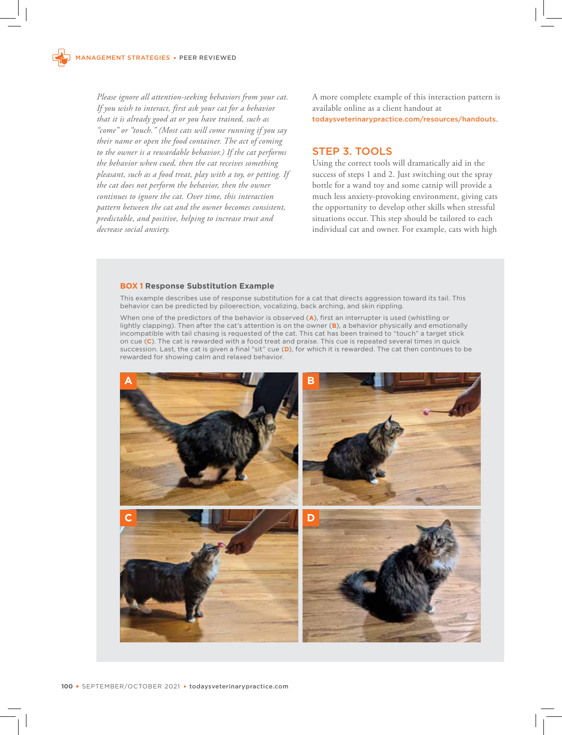*Please ignore all attention-seeking behaviors from your cat. If you wish to interact, first ask your cat for a behavior that it is already good at or you have trained, such as "come" or "touch." (Most cats will come running if you say their name or open the food container. The act of coming to the owner is a rewardable behavior.) If the cat performs the behavior when cued, then the cat receives something pleasant, such as a food treat, play with a toy, or petting. If the cat does not perform the behavior, then the owner continues to ignore the cat. Over time, this interaction pattern between the cat and the owner becomes consistent, predictable, and positive, helping to increase trust and decrease social anxiety.* 

A more complete example of this interaction pattern is available online as a client handout at todaysveterinarypractice.com/resources/handouts.

# STEP 3. TOOLS

Using the correct tools will dramatically aid in the success of steps 1 and 2. Just switching out the spray bottle for a wand toy and some catnip will provide a much less anxiety-provoking environment, giving cats the opportunity to develop other skills when stressful situations occur. This step should be tailored to each individual cat and owner. For example, cats with high

#### **BOX 1 Response Substitution Example**

This example describes use of response substitution for a cat that directs aggression toward its tail. This behavior can be predicted by piloerection, vocalizing, back arching, and skin rippling.

When one of the predictors of the behavior is observed (**A**), first an interrupter is used (whistling or lightly clapping). Then after the cat's attention is on the owner (**B**), a behavior physically and emotionally incompatible with tail chasing is requested of the cat. This cat has been trained to "touch" a target stick on cue (**C**). The cat is rewarded with a food treat and praise. This cue is repeated several times in quick succession. Last, the cat is given a final "sit" cue (**D**), for which it is rewarded. The cat then continues to be rewarded for showing calm and relaxed behavior.

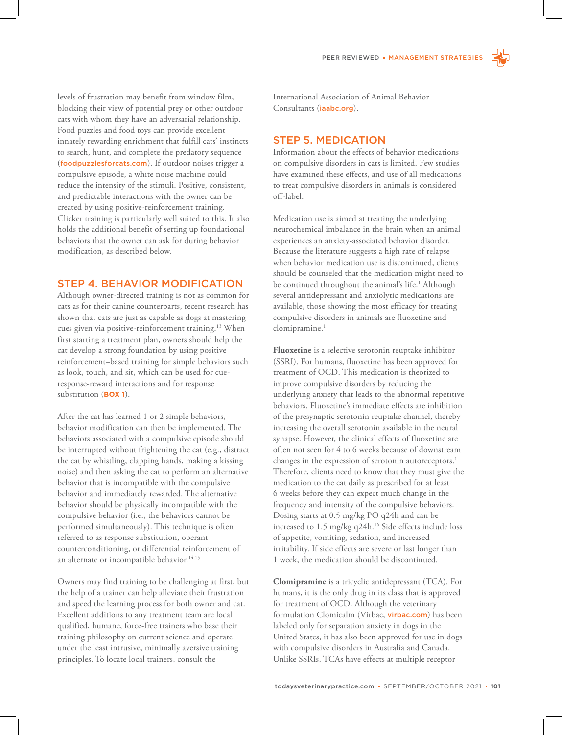levels of frustration may benefit from window film, blocking their view of potential prey or other outdoor cats with whom they have an adversarial relationship. Food puzzles and food toys can provide excellent innately rewarding enrichment that fulfill cats' instincts to search, hunt, and complete the predatory sequence (foodpuzzlesforcats.com). If outdoor noises trigger a compulsive episode, a white noise machine could reduce the intensity of the stimuli. Positive, consistent, and predictable interactions with the owner can be created by using positive-reinforcement training. Clicker training is particularly well suited to this. It also holds the additional benefit of setting up foundational behaviors that the owner can ask for during behavior modification, as described below.

## STEP 4. BEHAVIOR MODIFICATION

Although owner-directed training is not as common for cats as for their canine counterparts, recent research has shown that cats are just as capable as dogs at mastering cues given via positive-reinforcement training.<sup>13</sup> When first starting a treatment plan, owners should help the cat develop a strong foundation by using positive reinforcement–based training for simple behaviors such as look, touch, and sit, which can be used for cueresponse-reward interactions and for response substitution (**BOX 1**).

After the cat has learned 1 or 2 simple behaviors, behavior modification can then be implemented. The behaviors associated with a compulsive episode should be interrupted without frightening the cat (e.g., distract the cat by whistling, clapping hands, making a kissing noise) and then asking the cat to perform an alternative behavior that is incompatible with the compulsive behavior and immediately rewarded. The alternative behavior should be physically incompatible with the compulsive behavior (i.e., the behaviors cannot be performed simultaneously). This technique is often referred to as response substitution, operant counterconditioning, or differential reinforcement of an alternate or incompatible behavior.<sup>14,15</sup>

Owners may find training to be challenging at first, but the help of a trainer can help alleviate their frustration and speed the learning process for both owner and cat. Excellent additions to any treatment team are local qualified, humane, force-free trainers who base their training philosophy on current science and operate under the least intrusive, minimally aversive training principles. To locate local trainers, consult the

International Association of Animal Behavior Consultants (iaabc.org).

## STEP 5. MEDICATION

Information about the effects of behavior medications on compulsive disorders in cats is limited. Few studies have examined these effects, and use of all medications to treat compulsive disorders in animals is considered off-label.

Medication use is aimed at treating the underlying neurochemical imbalance in the brain when an animal experiences an anxiety-associated behavior disorder. Because the literature suggests a high rate of relapse when behavior medication use is discontinued, clients should be counseled that the medication might need to be continued throughout the animal's life.<sup>1</sup> Although several antidepressant and anxiolytic medications are available, those showing the most efficacy for treating compulsive disorders in animals are fluoxetine and clomipramine.<sup>1</sup>

**Fluoxetine** is a selective serotonin reuptake inhibitor (SSRI). For humans, fluoxetine has been approved for treatment of OCD. This medication is theorized to improve compulsive disorders by reducing the underlying anxiety that leads to the abnormal repetitive behaviors. Fluoxetine's immediate effects are inhibition of the presynaptic serotonin reuptake channel, thereby increasing the overall serotonin available in the neural synapse. However, the clinical effects of fluoxetine are often not seen for 4 to 6 weeks because of downstream changes in the expression of serotonin autoreceptors.<sup>1</sup> Therefore, clients need to know that they must give the medication to the cat daily as prescribed for at least 6 weeks before they can expect much change in the frequency and intensity of the compulsive behaviors. Dosing starts at 0.5 mg/kg PO q24h and can be increased to 1.5 mg/kg q24h.<sup>16</sup> Side effects include loss of appetite, vomiting, sedation, and increased irritability. If side effects are severe or last longer than 1 week, the medication should be discontinued.

**Clomipramine** is a tricyclic antidepressant (TCA). For humans, it is the only drug in its class that is approved for treatment of OCD. Although the veterinary formulation Clomicalm (Virbac, virbac.com) has been labeled only for separation anxiety in dogs in the United States, it has also been approved for use in dogs with compulsive disorders in Australia and Canada. Unlike SSRIs, TCAs have effects at multiple receptor